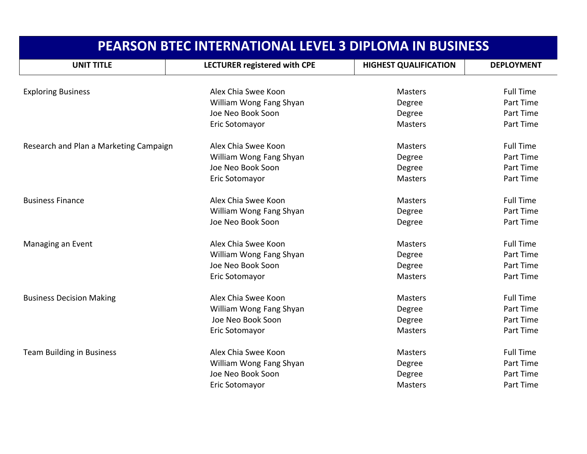| <b>PEARSON BTEC INTERNATIONAL LEVEL 3 DIPLOMA IN BUSINESS</b> |                              |                              |                   |
|---------------------------------------------------------------|------------------------------|------------------------------|-------------------|
| <b>UNIT TITLE</b>                                             | LECTURER registered with CPE | <b>HIGHEST QUALIFICATION</b> | <b>DEPLOYMENT</b> |
| <b>Exploring Business</b>                                     | Alex Chia Swee Koon          | <b>Masters</b>               | <b>Full Time</b>  |
|                                                               | William Wong Fang Shyan      | Degree                       | Part Time         |
|                                                               | Joe Neo Book Soon            | Degree                       | Part Time         |
|                                                               | Eric Sotomayor               | <b>Masters</b>               | Part Time         |
|                                                               |                              |                              |                   |
| Research and Plan a Marketing Campaign                        | Alex Chia Swee Koon          | <b>Masters</b>               | <b>Full Time</b>  |
|                                                               | William Wong Fang Shyan      | Degree                       | Part Time         |
|                                                               | Joe Neo Book Soon            | Degree                       | Part Time         |
|                                                               | Eric Sotomayor               | <b>Masters</b>               | Part Time         |
| <b>Business Finance</b>                                       | Alex Chia Swee Koon          | <b>Masters</b>               | <b>Full Time</b>  |
|                                                               | William Wong Fang Shyan      | Degree                       | Part Time         |
|                                                               | Joe Neo Book Soon            | Degree                       | Part Time         |
| Managing an Event                                             | Alex Chia Swee Koon          | <b>Masters</b>               | <b>Full Time</b>  |
|                                                               | William Wong Fang Shyan      | Degree                       | Part Time         |
|                                                               | Joe Neo Book Soon            | Degree                       | Part Time         |
|                                                               | Eric Sotomayor               | <b>Masters</b>               | Part Time         |
| <b>Business Decision Making</b>                               | Alex Chia Swee Koon          | <b>Masters</b>               | <b>Full Time</b>  |
|                                                               | William Wong Fang Shyan      | Degree                       | Part Time         |
|                                                               | Joe Neo Book Soon            | Degree                       | Part Time         |
|                                                               | Eric Sotomayor               | <b>Masters</b>               | Part Time         |
| <b>Team Building in Business</b>                              | Alex Chia Swee Koon          | <b>Masters</b>               | <b>Full Time</b>  |
|                                                               | William Wong Fang Shyan      | Degree                       | Part Time         |
|                                                               | Joe Neo Book Soon            | Degree                       | Part Time         |
|                                                               | Eric Sotomayor               | <b>Masters</b>               | Part Time         |
|                                                               |                              |                              |                   |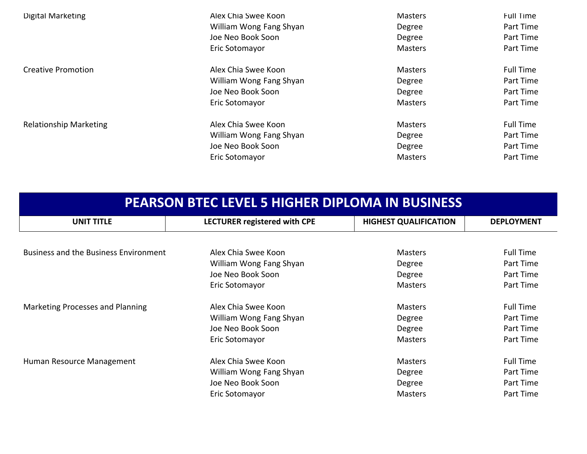| Digital Marketing             | Alex Chia Swee Koon     | <b>Masters</b> | <b>Full Time</b> |
|-------------------------------|-------------------------|----------------|------------------|
|                               | William Wong Fang Shyan | Degree         | Part Time        |
|                               | Joe Neo Book Soon       | Degree         | Part Time        |
|                               | Eric Sotomayor          | <b>Masters</b> | Part Time        |
| <b>Creative Promotion</b>     | Alex Chia Swee Koon     | <b>Masters</b> | Full Time        |
|                               | William Wong Fang Shyan | Degree         | Part Time        |
|                               | Joe Neo Book Soon       | Degree         | Part Time        |
|                               | Eric Sotomayor          | <b>Masters</b> | Part Time        |
| <b>Relationship Marketing</b> | Alex Chia Swee Koon     | <b>Masters</b> | <b>Full Time</b> |
|                               | William Wong Fang Shyan | Degree         | Part Time        |
|                               | Joe Neo Book Soon       | Degree         | Part Time        |
|                               | Eric Sotomayor          | <b>Masters</b> | Part Time        |

| <b>PEARSON BTEC LEVEL 5 HIGHER DIPLOMA IN BUSINESS</b> |                              |                              |                   |
|--------------------------------------------------------|------------------------------|------------------------------|-------------------|
| <b>UNIT TITLE</b>                                      | LECTURER registered with CPE | <b>HIGHEST QUALIFICATION</b> | <b>DEPLOYMENT</b> |
|                                                        |                              |                              |                   |
| <b>Business and the Business Environment</b>           | Alex Chia Swee Koon          | <b>Masters</b>               | <b>Full Time</b>  |
|                                                        | William Wong Fang Shyan      | Degree                       | Part Time         |
|                                                        | Joe Neo Book Soon            | Degree                       | Part Time         |
|                                                        | Eric Sotomayor               | <b>Masters</b>               | Part Time         |
| Marketing Processes and Planning                       | Alex Chia Swee Koon          | <b>Masters</b>               | <b>Full Time</b>  |
|                                                        | William Wong Fang Shyan      | Degree                       | Part Time         |
|                                                        | Joe Neo Book Soon            | Degree                       | Part Time         |
|                                                        | Eric Sotomayor               | <b>Masters</b>               | Part Time         |
| Human Resource Management                              | Alex Chia Swee Koon          | <b>Masters</b>               | <b>Full Time</b>  |
|                                                        | William Wong Fang Shyan      | Degree                       | Part Time         |
|                                                        | Joe Neo Book Soon            | Degree                       | Part Time         |
|                                                        | Eric Sotomayor               | <b>Masters</b>               | Part Time         |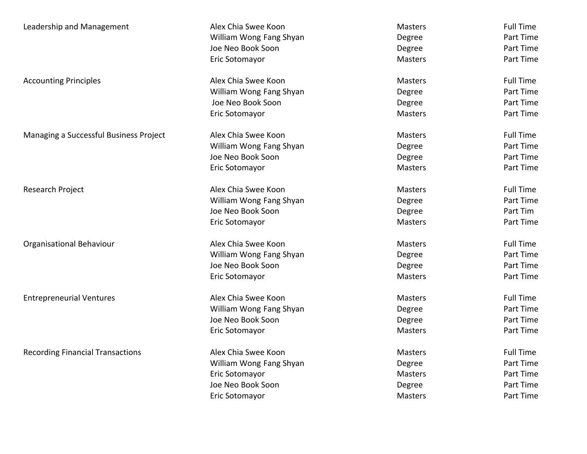| Leadership and Management               | Alex Chia Swee Koon     | <b>Masters</b> | <b>Full Time</b> |
|-----------------------------------------|-------------------------|----------------|------------------|
|                                         | William Wong Fang Shyan | Degree         | Part Time        |
|                                         | Joe Neo Book Soon       | Degree         | Part Time        |
|                                         | Eric Sotomayor          | <b>Masters</b> | Part Time        |
| <b>Accounting Principles</b>            | Alex Chia Swee Koon     | <b>Masters</b> | <b>Full Time</b> |
|                                         | William Wong Fang Shyan | Degree         | Part Time        |
|                                         | Joe Neo Book Soon       | Degree         | Part Time        |
|                                         | Eric Sotomayor          | <b>Masters</b> | Part Time        |
| Managing a Successful Business Project  | Alex Chia Swee Koon     | <b>Masters</b> | <b>Full Time</b> |
|                                         | William Wong Fang Shyan | Degree         | Part Time        |
|                                         | Joe Neo Book Soon       | Degree         | Part Time        |
|                                         | Eric Sotomayor          | <b>Masters</b> | Part Time        |
| Research Project                        | Alex Chia Swee Koon     | Masters        | <b>Full Time</b> |
|                                         | William Wong Fang Shyan | Degree         | Part Time        |
|                                         | Joe Neo Book Soon       | Degree         | Part Tim         |
|                                         | Eric Sotomayor          | <b>Masters</b> | Part Time        |
| Organisational Behaviour                | Alex Chia Swee Koon     | <b>Masters</b> | <b>Full Time</b> |
|                                         | William Wong Fang Shyan | Degree         | Part Time        |
|                                         | Joe Neo Book Soon       | Degree         | Part Time        |
|                                         | Eric Sotomayor          | Masters        | Part Time        |
| <b>Entrepreneurial Ventures</b>         | Alex Chia Swee Koon     | <b>Masters</b> | <b>Full Time</b> |
|                                         | William Wong Fang Shyan | Degree         | Part Time        |
|                                         | Joe Neo Book Soon       | Degree         | Part Time        |
|                                         | Eric Sotomayor          | Masters        | Part Time        |
| <b>Recording Financial Transactions</b> | Alex Chia Swee Koon     | Masters        | <b>Full Time</b> |
|                                         | William Wong Fang Shyan | Degree         | Part Time        |
|                                         | Eric Sotomayor          | Masters        | Part Time        |
|                                         | Joe Neo Book Soon       | Degree         | Part Time        |
|                                         | Eric Sotomayor          | <b>Masters</b> | Part Time        |
|                                         |                         |                |                  |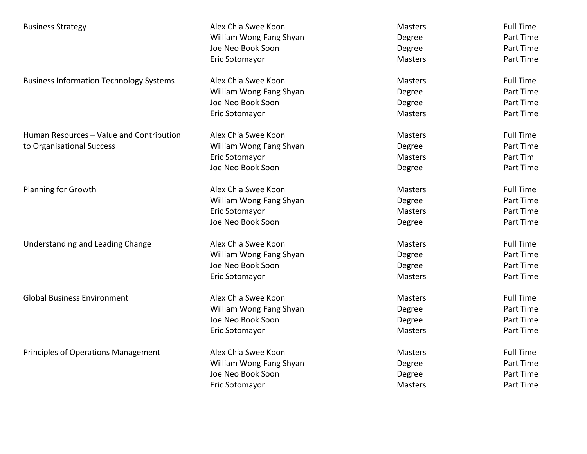| <b>Business Strategy</b>                       | Alex Chia Swee Koon     | Masters        | <b>Full Time</b> |
|------------------------------------------------|-------------------------|----------------|------------------|
|                                                | William Wong Fang Shyan | Degree         | Part Time        |
|                                                | Joe Neo Book Soon       | Degree         | Part Time        |
|                                                | Eric Sotomayor          | <b>Masters</b> | Part Time        |
| <b>Business Information Technology Systems</b> | Alex Chia Swee Koon     | <b>Masters</b> | <b>Full Time</b> |
|                                                | William Wong Fang Shyan | Degree         | Part Time        |
|                                                | Joe Neo Book Soon       | Degree         | Part Time        |
|                                                | Eric Sotomayor          | Masters        | Part Time        |
| Human Resources - Value and Contribution       | Alex Chia Swee Koon     | <b>Masters</b> | <b>Full Time</b> |
| to Organisational Success                      | William Wong Fang Shyan | Degree         | Part Time        |
|                                                | Eric Sotomayor          | <b>Masters</b> | Part Tim         |
|                                                | Joe Neo Book Soon       | Degree         | Part Time        |
| <b>Planning for Growth</b>                     | Alex Chia Swee Koon     | <b>Masters</b> | <b>Full Time</b> |
|                                                | William Wong Fang Shyan | Degree         | Part Time        |
|                                                | Eric Sotomayor          | <b>Masters</b> | Part Time        |
|                                                | Joe Neo Book Soon       | Degree         | Part Time        |
| Understanding and Leading Change               | Alex Chia Swee Koon     | <b>Masters</b> | <b>Full Time</b> |
|                                                | William Wong Fang Shyan | Degree         | Part Time        |
|                                                | Joe Neo Book Soon       | Degree         | Part Time        |
|                                                | Eric Sotomayor          | <b>Masters</b> | Part Time        |
| <b>Global Business Environment</b>             | Alex Chia Swee Koon     | <b>Masters</b> | <b>Full Time</b> |
|                                                | William Wong Fang Shyan | Degree         | Part Time        |
|                                                | Joe Neo Book Soon       | Degree         | Part Time        |
|                                                | Eric Sotomayor          | Masters        | Part Time        |
| Principles of Operations Management            | Alex Chia Swee Koon     | Masters        | <b>Full Time</b> |
|                                                | William Wong Fang Shyan | Degree         | Part Time        |
|                                                | Joe Neo Book Soon       | Degree         | Part Time        |
|                                                | Eric Sotomayor          | Masters        | Part Time        |